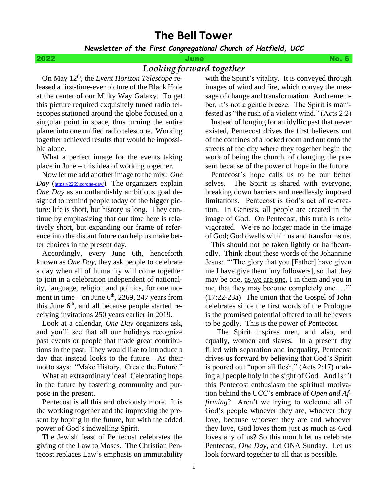# **The Bell Tower**

# *Newsletter of the First Congregational Church of Hatfield, UCC*

2022 June No. 6

# *Looking forward together*

 On May 12th, the *Event Horizon Telescope* released a first-time-ever picture of the Black Hole at the center of our Milky Way Galaxy. To get this picture required exquisitely tuned radio telescopes stationed around the globe focused on a singular point in space, thus turning the entire planet into one unified radio telescope. Working together achieved results that would be impossible alone.

 What a perfect image for the events taking place in June – this idea of working together.

 Now let me add another image to the mix: *One Day* (<https://2269.co/one-day/>) The organizers explain *One Day* as an outlandishly ambitious goal designed to remind people today of the bigger picture: life is short, but history is long. They continue by emphasizing that our time here is relatively short, but expanding our frame of reference into the distant future can help us make better choices in the present day.

 Accordingly, every June 6th, henceforth known as *One Day*, they ask people to celebrate a day when all of humanity will come together to join in a celebration independent of nationality, language, religion and politics, for one moment in time – on June  $6<sup>th</sup>$ , 2269, 247 years from this June  $6<sup>th</sup>$ , and all because people started receiving invitations 250 years earlier in 2019.

 Look at a calendar, *One Day* organizers ask, and you'll see that all our holidays recognize past events or people that made great contributions in the past. They would like to introduce a day that instead looks to the future. As their motto says: "Make History. Create the Future."

 What an extraordinary idea! Celebrating hope in the future by fostering community and purpose in the present.

 Pentecost is all this and obviously more. It is the working together and the improving the present by hoping in the future, but with the added power of God's indwelling Spirit.

 The Jewish feast of Pentecost celebrates the giving of the Law to Moses. The Christian Pentecost replaces Law's emphasis on immutability with the Spirit's vitality. It is conveyed through images of wind and fire, which convey the message of change and transformation. And remember, it's not a gentle breeze. The Spirit is manifested as "the rush of a violent wind." (Acts 2:2)

 Instead of longing for an idyllic past that never existed, Pentecost drives the first believers out of the confines of a locked room and out onto the streets of the city where they together begin the work of being the church, of changing the present because of the power of hope in the future.

 Pentecost's hope calls us to be our better selves. The Spirit is shared with everyone, breaking down barriers and needlessly imposed limitations. Pentecost is God's act of re-creation. In Genesis, all people are created in the image of God. On Pentecost, this truth is reinvigorated. We're no longer made in the image of God; God dwells within us and transforms us.

 This should not be taken lightly or halfheartedly. Think about these words of the Johannine Jesus: "'The glory that you [Father] have given me I have give them [my followers], so that they may be one, as we are one, I in them and you in me, that they may become completely one ..." (17:22-23a) The union that the Gospel of John celebrates since the first words of the Prologue is the promised potential offered to all believers to be godly. This is the power of Pentecost.

 The Spirit inspires men, and also, and equally, women and slaves. In a present day filled with separation and inequality, Pentecost drives us forward by believing that God's Spirit is poured out "upon all flesh," (Acts 2:17) making all people holy in the sight of God. And isn't this Pentecost enthusiasm the spiritual motivation behind the UCC's embrace of *Open and Affirming*? Aren't we trying to welcome all of God's people whoever they are, whoever they love, because whoever they are and whoever they love, God loves them just as much as God loves any of us? So this month let us celebrate Pentecost, *One Day*, and ONA Sunday. Let us look forward together to all that is possible.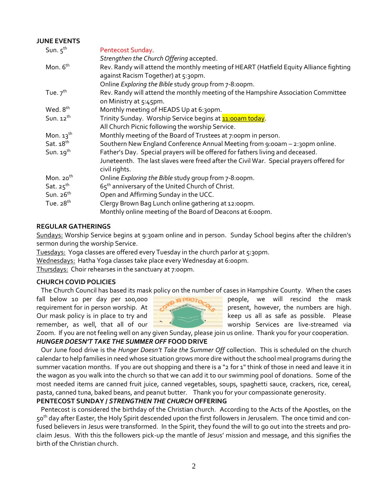# **JUNE EVENTS**

| Sun. $5^{th}$         | Pentecost Sunday                                                                                                              |
|-----------------------|-------------------------------------------------------------------------------------------------------------------------------|
|                       | Strengthen the Church Offering accepted.                                                                                      |
| Mon. 6 <sup>th</sup>  | Rev. Randy will attend the monthly meeting of HEART (Hatfield Equity Alliance fighting<br>against Racism Together) at 5:30pm. |
|                       | Online Exploring the Bible study group from 7-8:00pm.                                                                         |
| Tue. $7th$            | Rev. Randy will attend the monthly meeting of the Hampshire Association Committee<br>on Ministry at 5:45pm.                   |
| Wed. 8 <sup>th</sup>  | Monthly meeting of HEADS Up at 6:30pm.                                                                                        |
| Sun. $12^{th}$        | Trinity Sunday. Worship Service begins at <b>11:00am today</b> .                                                              |
|                       | All Church Picnic following the worship Service.                                                                              |
| Mon. $13^{\text{th}}$ | Monthly meeting of the Board of Trustees at 7:00pm in person.                                                                 |
| Sat. $18th$           | Southern New England Conference Annual Meeting from 9:00am - 2:30pm online.                                                   |
| Sun. $19^{th}$        | Father's Day. Special prayers will be offered for fathers living and deceased.                                                |
|                       | Juneteenth. The last slaves were freed after the Civil War. Special prayers offered for<br>civil rights.                      |
| Mon. $20th$           | Online Exploring the Bible study group from 7-8:00pm.                                                                         |
| Sat. $25^{\text{th}}$ | 65 <sup>th</sup> anniversary of the United Church of Christ.                                                                  |
| Sun. $26th$           | Open and Affirming Sunday in the UCC.                                                                                         |
| Tue. $28th$           | Clergy Brown Bag Lunch online gathering at 12:00pm.                                                                           |
|                       | Monthly online meeting of the Board of Deacons at 6:00pm.                                                                     |

# **REGULAR GATHERINGS**

Sundays: Worship Service begins at 9:30am online and in person. Sunday School begins after the children's sermon during the worship Service.

Tuesdays: Yoga classes are offered every Tuesday in the church parlor at 5:30pm.

Wednesdays: Hatha Yoga classes take place every Wednesday at 6:00pm.

Thursdays: Choir rehearses in the sanctuary at 7:00pm.

# **CHURCH COVID POLICIES**

The Church Council has based its mask policy on the number of cases in Hampshire County. When the cases



fall below 10 per day per 100,000 **parts 10 PRO<sub>TO</sub>** people, we will rescind the mask requirement for in person worship. At  $\sim$  present, however, the numbers are high. Our mask policy is in place to try and  $\Box$   $\Box$  keep us all as safe as possible. Please remember, as well, that all of our  $\frac{1}{\sqrt{2}}$  worship Services are live-streamed via

Zoom. If you are not feeling well on any given Sunday, please join us online. Thank you for your cooperation. *HUNGER DOESN'T TAKE THE SUMMER OFF* **FOOD DRIVE**

Our June food drive is the *Hunger Doesn't Take the Summer Off* collection. This is scheduled on the church calendar to help families in need whose situation grows more dire without the school meal programs during the summer vacation months. If you are out shopping and there is a "2 for 1" think of those in need and leave it in the wagon as you walk into the church so that we can add it to our swimming pool of donations. Some of the most needed items are canned fruit juice, canned vegetables, soups, spaghetti sauce, crackers, rice, cereal, pasta, canned tuna, baked beans, and peanut butter. Thank you for your compassionate generosity.

# **PENTECOST SUNDAY /** *STRENGTHEN THE CHURCH* **OFFERING**

Pentecost is considered the birthday of the Christian church. According to the Acts of the Apostles, on the 50<sup>th</sup> day after Easter, the Holy Spirit descended upon the first followers in Jerusalem. The once timid and confused believers in Jesus were transformed. In the Spirit, they found the will to go out into the streets and proclaim Jesus. With this the followers pick-up the mantle of Jesus' mission and message, and this signifies the birth of the Christian church.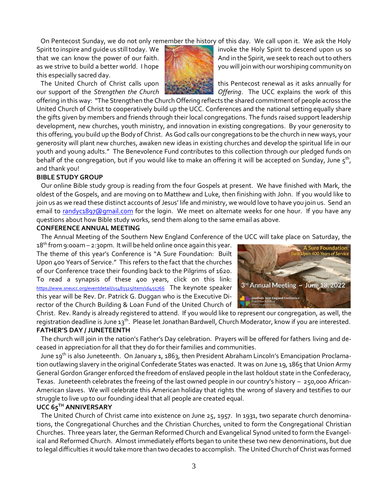On Pentecost Sunday, we do not only remember the history of this day. We call upon it. We ask the Holy

this especially sacred day.



Spirit to inspire and quide us still today. We invoke the Holy Spirit to descend upon us so that we can know the power of our faith. And in the Spirit, we seek to reach out to others as we strive to build a better world. I hope you will join with our worshiping community on

The United Church of Christ calls upon the state of this Pentecost renewal as it asks annually for our support of the *Strengthen the Church* **Change of the** *Offering*. The UCC explains the work of this

offering in this way: "The Strengthen the Church Offering reflects the shared commitment of people across the United Church of Christ to cooperatively build up the UCC. Conferences and the national setting equally share the gifts given by members and friends through their local congregations. The funds raised support leadership development, new churches, youth ministry, and innovation in existing congregations. By your generosity to this offering, you build up the Body of Christ. As God calls our congregations to be the church in new ways, your generosity will plant new churches, awaken new ideas in existing churches and develop the spiritual life in our youth and young adults." The Benevolence Fund contributes to this collection through our pledged funds on behalf of the congregation, but if you would like to make an offering it will be accepted on Sunday, June  $5^{th}$ , and thank you!

#### **BIBLE STUDY GROUP**

Our online Bible study group is reading from the four Gospels at present. We have finished with Mark, the oldest of the Gospels, and are moving on to Matthew and Luke, then finishing with John. If you would like to join us as we read these distinct accounts of Jesus' life and ministry, we would love to have you join us. Send an email to [randyc1897@gmail.com](mailto:randyc1897@gmail.com) for the login. We meet on alternate weeks for one hour. If you have any questions about how Bible study works, send them along to the same email as above.

#### **CONFERENCE ANNUAL MEETING**

The Annual Meeting of the Southern New England Conference of the UCC will take place on Saturday, the

 $18<sup>th</sup>$  from 9:00am – 2:30pm. It will be held online once again this year. The theme of this year's Conference is "A Sure Foundation: Built Upon 400 Years of Service." This refers to the fact that the churches of our Conference trace their founding back to the Pilgrims of 1620. To read a synapsis of these 400 years, click on this link: <https://www.sneucc.org/eventdetail/15483325/item/16455766> The keynote speaker this year will be Rev. Dr. Patrick G. Duggan who is the Executive Director of the Church Building & Loan Fund of the United Church of



Christ. Rev. Randy is already registered to attend. If you would like to represent our congregation, as well, the registration deadline is June 13<sup>th</sup>. Please let Jonathan Bardwell, Church Moderator, know if you are interested. **FATHER'S DAY / JUNETEENTH**

The church will join in the nation's Father's Day celebration. Prayers will be offered for fathers living and deceased in appreciation for all that they do for their families and communities.

 June 19th is also Juneteenth. On January 1, 1863, then President Abraham Lincoln's Emancipation Proclamation outlawing slavery in the original Confederate States was enacted. It was on June 19, 1865 that Union Army General Gordon Granger enforced the freedom of enslaved people in the last holdout state in the Confederacy, Texas. Juneteenth celebrates the freeing of the last owned people in our country's history – 250,000 African-American slaves. We will celebrate this American holiday that rights the wrong of slavery and testifies to our struggle to live up to our founding ideal that all people are created equal.

# **UCC 65TH ANNIVERSARY**

The United Church of Christ came into existence on June 25, 1957. In 1931, two separate church denominations, the Congregational Churches and the Christian Churches, united to form the Congregational Christian Churches. Three years later, the German Reformed Church and Evangelical Synod united to form the Evangelical and Reformed Church. Almost immediately efforts began to unite these two new denominations, but due to legal difficulties it would take more than two decades to accomplish. The United Church of Christ was formed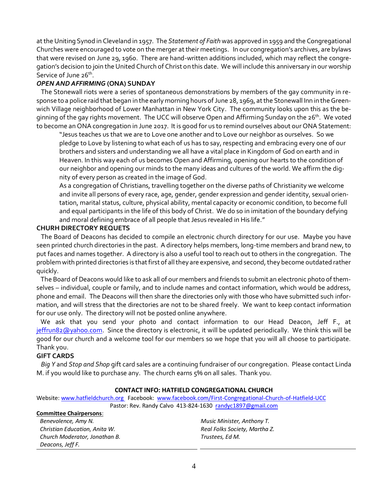at the Uniting Synod in Cleveland in 1957. The *Statement of Faith* was approved in 1959 and the Congregational Churches were encouraged to vote on the merger at their meetings. In our congregation's archives, are bylaws that were revised on June 29, 1960. There are hand-written additions included, which may reflect the congregation's decision to join the United Church of Christ on this date. We will include this anniversary in our worship Service of June 26<sup>th</sup>.

# *OPEN AND AFFIRMING* **(ONA) SUNDAY**

The Stonewall riots were a series of spontaneous demonstrations by members of the gay community in response to a police raid that began in the early morning hours of June 28, 1969, at the Stonewall Inn in the Greenwich Village neighborhood of Lower Manhattan in New York City. The community looks upon this as the beginning of the gay rights movement. The UCC will observe Open and Affirming Sunday on the 26<sup>th</sup>. We voted to become an ONA congregation in June 2017. It is good for us to remind ourselves about our ONA Statement:

"Jesus teaches us that we are to Love one another and to Love our neighbor as ourselves. So we pledge to Love by listening to what each of us has to say, respecting and embracing every one of our brothers and sisters and understanding we all have a vital place in Kingdom of God on earth and in Heaven. In this way each of us becomes Open and Affirming, opening our hearts to the condition of our neighbor and opening our minds to the many ideas and cultures of the world. We affirm the dignity of every person as created in the image of God.

As a congregation of Christians, travelling together on the diverse paths of Christianity we welcome and invite all persons of every race, age, gender, gender expression and gender identity, sexual orientation, marital status, culture, physical ability, mental capacity or economic condition, to become full and equal participants in the life of this body of Christ. We do so in imitation of the boundary defying and moral defining embrace of all people that Jesus revealed in His life."

# **CHURH DIRECTORY REQUETS**

The Board of Deacons has decided to compile an electronic church directory for our use. Maybe you have seen printed church directories in the past. A directory helps members, long-time members and brand new, to put faces and names together. A directory is also a useful tool to reach out to others in the congregation. The problem with printed directories is that first of all they are expensive, and second, they become outdated rather quickly.

 The Board of Deacons would like to ask all of our members and friends to submit an electronic photo of themselves – individual, couple or family, and to include names and contact information, which would be address, phone and email. The Deacons will then share the directories only with those who have submitted such information, and will stress that the directories are not to be shared freely. We want to keep contact information for our use only. The directory will not be posted online anywhere.

 We ask that you send your photo and contact information to our Head Deacon, Jeff F., at [jeffrun82@yahoo.com.](mailto:jeffrun82@yahoo.com) Since the directory is electronic, it will be updated periodically. We think this will be good for our church and a welcome tool for our members so we hope that you will all choose to participate. Thank you.

# **GIFT CARDS**

*Big Y* and *Stop and Shop* gift card sales are a continuing fundraiser of our congregation. Please contact Linda M. if you would like to purchase any. The church earns 5% on all sales. Thank you.

# **CONTACT INFO: HATFIELD CONGREGATIONAL CHURCH**

Website[: www.hatfieldchurch.org](http://www.hatfieldchurch.org/) Facebook: [www.facebook.com/First-Congregational-Church-of-Hatfield-UCC](http://www.facebook.com/First-Congregational-Church-of-Hatfield-UCC) Pastor: Rev. Randy Calvo 413-824-1630 [randyc1897@gmail.com](mailto:randyc1897@gmail.com)

#### **Committee Chairpersons**:

*Benevolence, Amy N. Music Minister, Anthony T. Christian Education, Anita W. Real Folks Society, Martha Z. Church Moderator, Jonathan B. Trustees, Ed M. Deacons, Jeff F.*